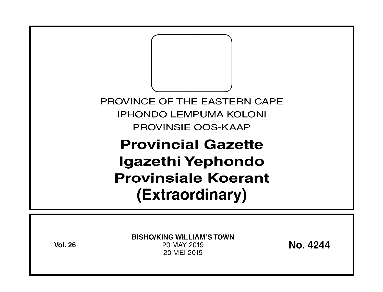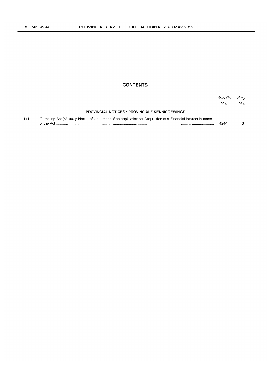## **CONTENTS**

|     |                                                                                                                             | Gazette<br>No. | Page<br>No. |
|-----|-----------------------------------------------------------------------------------------------------------------------------|----------------|-------------|
|     | <b>PROVINCIAL NOTICES • PROVINSIALE KENNISGEWINGS</b>                                                                       |                |             |
| 141 | Gambling Act (5/1997): Notice of lodgement of an application for Acquisition of a Financial Interest in terms<br>of the Act | 4244           |             |